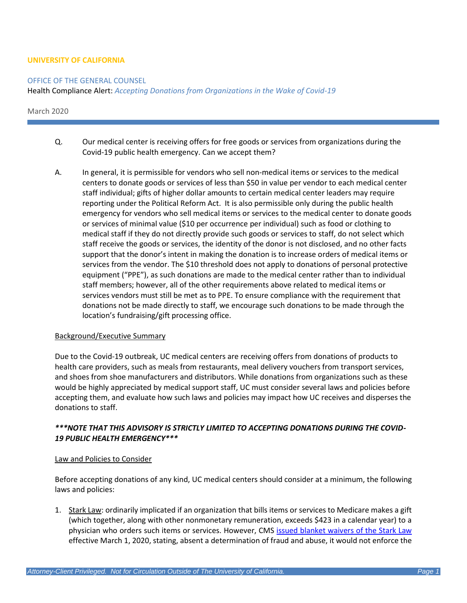## **UNIVERSITY OF CALIFORNIA**

### OFFICE OF THE GENERAL COUNSEL

Health Compliance Alert: *Accepting Donations from Organizations in the Wake of Covid-19*

March 2020

- Q. Our medical center is receiving offers for free goods or services from organizations during the Covid-19 public health emergency. Can we accept them?
- A. In general, it is permissible for vendors who sell non-medical items or services to the medical centers to donate goods or services of less than \$50 in value per vendor to each medical center staff individual; gifts of higher dollar amounts to certain medical center leaders may require reporting under the Political Reform Act. It is also permissible only during the public health emergency for vendors who sell medical items or services to the medical center to donate goods or services of minimal value (\$10 per occurrence per individual) such as food or clothing to medical staff if they do not directly provide such goods or services to staff, do not select which staff receive the goods or services, the identity of the donor is not disclosed, and no other facts support that the donor's intent in making the donation is to increase orders of medical items or services from the vendor. The \$10 threshold does not apply to donations of personal protective equipment ("PPE"), as such donations are made to the medical center rather than to individual staff members; however, all of the other requirements above related to medical items or services vendors must still be met as to PPE. To ensure compliance with the requirement that donations not be made directly to staff, we encourage such donations to be made through the location's fundraising/gift processing office.

### Background/Executive Summary

Due to the Covid-19 outbreak, UC medical centers are receiving offers from donations of products to health care providers, such as meals from restaurants, meal delivery vouchers from transport services, and shoes from shoe manufacturers and distributors. While donations from organizations such as these would be highly appreciated by medical support staff, UC must consider several laws and policies before accepting them, and evaluate how such laws and policies may impact how UC receives and disperses the donations to staff.

# *\*\*\*NOTE THAT THIS ADVISORY IS STRICTLY LIMITED TO ACCEPTING DONATIONS DURING THE COVID-19 PUBLIC HEALTH EMERGENCY\*\*\**

### Law and Policies to Consider

Before accepting donations of any kind, UC medical centers should consider at a minimum, the following laws and policies:

1. Stark Law: ordinarily implicated if an organization that bills items or services to Medicare makes a gift (which together, along with other nonmonetary remuneration, exceeds \$423 in a calendar year) to a physician who orders such items or services. However, CMS [issued blanket waivers of the Stark Law](https://www.cms.gov/files/document/covid-19-blanket-waivers-section-1877g.pdf) effective March 1, 2020, stating, absent a determination of fraud and abuse, it would not enforce the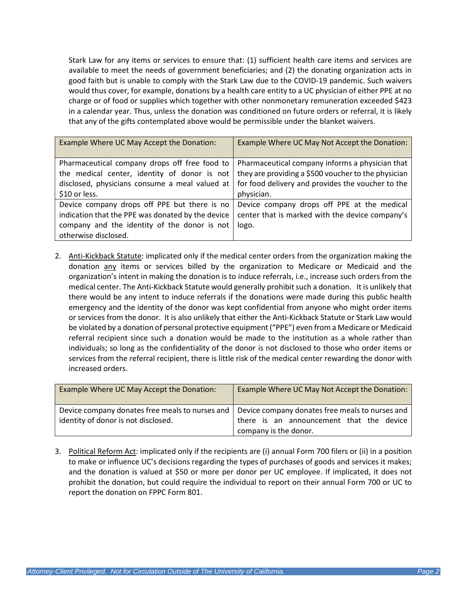Stark Law for any items or services to ensure that: (1) sufficient health care items and services are available to meet the needs of government beneficiaries; and (2) the donating organization acts in good faith but is unable to comply with the Stark Law due to the COVID-19 pandemic. Such waivers would thus cover, for example, donations by a health care entity to a UC physician of either PPE at no charge or of food or supplies which together with other nonmonetary remuneration exceeded \$423 in a calendar year. Thus, unless the donation was conditioned on future orders or referral, it is likely that any of the gifts contemplated above would be permissible under the blanket waivers.

| Example Where UC May Accept the Donation:                                                                                                         | Example Where UC May Not Accept the Donation:                                                                                                               |
|---------------------------------------------------------------------------------------------------------------------------------------------------|-------------------------------------------------------------------------------------------------------------------------------------------------------------|
| Pharmaceutical company drops off free food to<br>the medical center, identity of donor is not<br>disclosed, physicians consume a meal valued at   | Pharmaceutical company informs a physician that<br>they are providing a \$500 voucher to the physician<br>for food delivery and provides the voucher to the |
| \$10 or less.                                                                                                                                     | physician.                                                                                                                                                  |
| Device company drops off PPE but there is no<br>indication that the PPE was donated by the device<br>company and the identity of the donor is not | Device company drops off PPE at the medical<br>center that is marked with the device company's<br>logo.                                                     |
| otherwise disclosed.                                                                                                                              |                                                                                                                                                             |

2. Anti-Kickback Statute: implicated only if the medical center orders from the organization making the donation any items or services billed by the organization to Medicare or Medicaid and the organization's intent in making the donation is to induce referrals, i.e., increase such orders from the medical center. The Anti-Kickback Statute would generally prohibit such a donation. It is unlikely that there would be any intent to induce referrals if the donations were made during this public health emergency and the identity of the donor was kept confidential from anyone who might order items or services from the donor. It is also unlikely that either the Anti-Kickback Statute or Stark Law would be violated by a donation of personal protective equipment ("PPE") even from a Medicare or Medicaid referral recipient since such a donation would be made to the institution as a whole rather than individuals; so long as the confidentiality of the donor is not disclosed to those who order items or services from the referral recipient, there is little risk of the medical center rewarding the donor with increased orders.

| Example Where UC May Accept the Donation:       | Example Where UC May Not Accept the Donation:   |
|-------------------------------------------------|-------------------------------------------------|
| Device company donates free meals to nurses and | Device company donates free meals to nurses and |
| identity of donor is not disclosed.             | there is an announcement that the device        |
|                                                 | company is the donor.                           |

3. Political Reform Act: implicated only if the recipients are (i) annual Form 700 filers or (ii) in a position to make or influence UC's decisions regarding the types of purchases of goods and services it makes; and the donation is valued at \$50 or more per donor per UC employee. If implicated, it does not prohibit the donation, but could require the individual to report on their annual Form 700 or UC to report the donation on FPPC Form 801.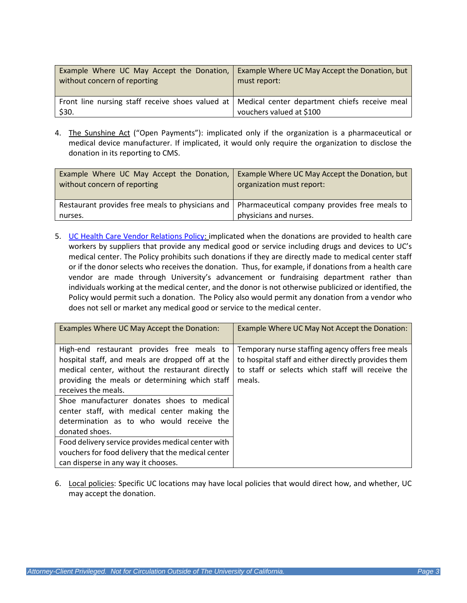| Example Where UC May Accept the Donation,                                                                 | Example Where UC May Accept the Donation, but |
|-----------------------------------------------------------------------------------------------------------|-----------------------------------------------|
| without concern of reporting                                                                              | must report:                                  |
| Front line nursing staff receive shoes valued at   Medical center department chiefs receive meal<br>\$30. | vouchers valued at \$100                      |

4. The Sunshine Act ("Open Payments"): implicated only if the organization is a pharmaceutical or medical device manufacturer. If implicated, it would only require the organization to disclose the donation in its reporting to CMS.

| Example Where UC May Accept the Donation, Example Where UC May Accept the Donation, but<br>without concern of reporting | organization must report:                                                                                                  |
|-------------------------------------------------------------------------------------------------------------------------|----------------------------------------------------------------------------------------------------------------------------|
| nurses.                                                                                                                 | Restaurant provides free meals to physicians and   Pharmaceutical company provides free meals to<br>physicians and nurses. |

5. [UC Health Care Vendor Relations Policy:](https://policy.ucop.edu/doc/5000433/HealthVendorRelations) implicated when the donations are provided to health care workers by suppliers that provide any medical good or service including drugs and devices to UC's medical center. The Policy prohibits such donations if they are directly made to medical center staff or if the donor selects who receives the donation. Thus, for example, if donations from a health care vendor are made through University's advancement or fundraising department rather than individuals working at the medical center, and the donor is not otherwise publicized or identified, the Policy would permit such a donation. The Policy also would permit any donation from a vendor who does not sell or market any medical good or service to the medical center.

| Examples Where UC May Accept the Donation:                                                                                                                                                                                                                                                                                                                                              | Example Where UC May Not Accept the Donation:                                                                                                                          |
|-----------------------------------------------------------------------------------------------------------------------------------------------------------------------------------------------------------------------------------------------------------------------------------------------------------------------------------------------------------------------------------------|------------------------------------------------------------------------------------------------------------------------------------------------------------------------|
| High-end restaurant provides free meals to<br>hospital staff, and meals are dropped off at the<br>medical center, without the restaurant directly<br>providing the meals or determining which staff<br>receives the meals.<br>Shoe manufacturer donates shoes to medical<br>center staff, with medical center making the<br>determination as to who would receive the<br>donated shoes. | Temporary nurse staffing agency offers free meals<br>to hospital staff and either directly provides them<br>to staff or selects which staff will receive the<br>meals. |
| Food delivery service provides medical center with                                                                                                                                                                                                                                                                                                                                      |                                                                                                                                                                        |
| vouchers for food delivery that the medical center                                                                                                                                                                                                                                                                                                                                      |                                                                                                                                                                        |
| can disperse in any way it chooses.                                                                                                                                                                                                                                                                                                                                                     |                                                                                                                                                                        |

6. Local policies: Specific UC locations may have local policies that would direct how, and whether, UC may accept the donation.